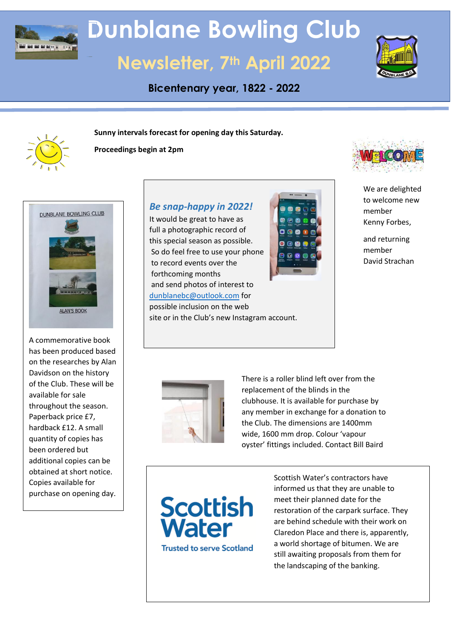

# **Dunblane Bowling Club**

## **Newsletter, 7th April 2022**

**Bicentenary year, 1822 - 2022**



**Sunny intervals forecast for opening day this Saturday.**



**Proceedings begin at 2pm**



DUNBLANE BOWLING CLUB **ALAN'S BOOK** 

A commemorative book has been produced based on the researches by Alan Davidson on the history of the Club. These will be available for sale throughout the season. Paperback price £7, hardback £12. A small quantity of copies has been ordered but additional copies can be obtained at short notice. Copies available for purchase on opening day.

*Be snap-happy in 2022!*

It would be great to have as full a photographic record of this special season as possible. So do feel free to use your phone to record events over the forthcoming months and send photos of interest to [dunblanebc@outlook.com](mailto:dunblanebc@outlook.com) for possible inclusion on the web site or in the Club's new Instagram account.





We are delighted to welcome new member Kenny Forbes,

and returning member David Strachan



There is a roller blind left over from the replacement of the blinds in the clubhouse. It is available for purchase by any member in exchange for a donation to the Club. The dimensions are 1400mm wide, 1600 mm drop. Colour 'vapour oyster' fittings included. Contact Bill Baird



Scottish Water's contractors have informed us that they are unable to meet their planned date for the restoration of the carpark surface. They are behind schedule with their work on Claredon Place and there is, apparently, a world shortage of bitumen. We are still awaiting proposals from them for the landscaping of the banking.